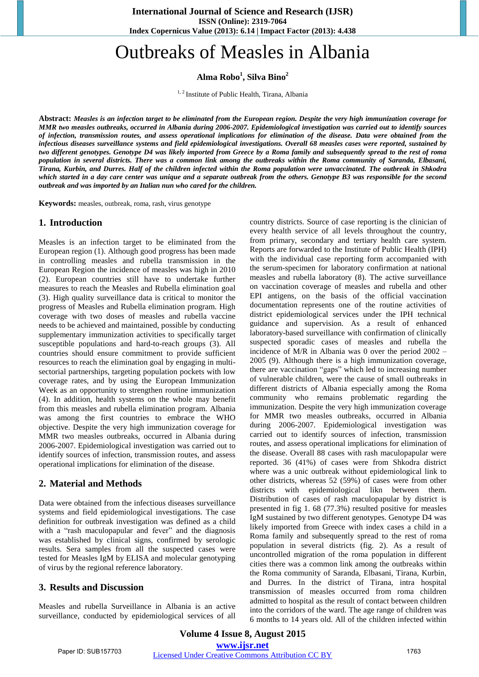# Outbreaks of Measles in Albania

**Alma Robo<sup>1</sup> , Silva Bino<sup>2</sup>**

<sup>1, 2</sup> Institute of Public Health, Tirana, Albania

**Abstract:** *Measles is an infection target to be eliminated from the European region. Despite the very high immunization coverage for MMR two measles outbreaks, occurred in Albania during 2006-2007. Epidemiological investigation was carried out to identify sources of infection, transmission routes, and assess operational implications for elimination of the disease. Data were obtained from the infectious diseases surveillance systems and field epidemiological investigations. Overall 68 measles cases were reported, sustained by two different genotypes. Genotype D4 was likely imported from Greece by a Roma family and subsequently spread to the rest of roma population in several districts. There was a common link among the outbreaks within the Roma community of Saranda, Elbasani, Tirana, Kurbin, and Durres. Half of the children infected within the Roma population were unvaccinated. The outbreak in Shkodra which started in a day care center was unique and a separate outbreak from the others. Genotype B3 was responsible for the second outbreak and was imported by an Italian nun who cared for the children.*

**Keywords:** measles, outbreak, roma, rash, virus genotype

#### **1. Introduction**

Measles is an infection target to be eliminated from the European region (1). Although good progress has been made in controlling measles and rubella transmission in the European Region the incidence of measles was high in 2010 (2). European countries still have to undertake further measures to reach the Measles and Rubella elimination goal (3). High quality surveillance data is critical to monitor the progress of Measles and Rubella elimination program. High coverage with two doses of measles and rubella vaccine needs to be achieved and maintained, possible by conducting supplementary immunization activities to specifically target susceptible populations and hard-to-reach groups (3). All countries should ensure commitment to provide sufficient resources to reach the elimination goal by engaging in multisectorial partnerships, targeting population pockets with low coverage rates, and by using the European Immunization Week as an opportunity to strengthen routine immunization (4). In addition, health systems on the whole may benefit from this measles and rubella elimination program. Albania was among the first countries to embrace the WHO objective. Despite the very high immunization coverage for MMR two measles outbreaks, occurred in Albania during 2006-2007. Epidemiological investigation was carried out to identify sources of infection, transmission routes, and assess operational implications for elimination of the disease.

## **2. Material and Methods**

Data were obtained from the infectious diseases surveillance systems and field epidemiological investigations. The case definition for outbreak investigation was defined as a child with a "rash maculopapular and fever" and the diagnosis was established by clinical signs, confirmed by serologic results. Sera samples from all the suspected cases were tested for Measles IgM by ELISA and molecular genotyping of virus by the regional reference laboratory.

## **3. Results and Discussion**

Measles and rubella Surveillance in Albania is an active surveillance, conducted by epidemiological services of all country districts. Source of case reporting is the clinician of every health service of all levels throughout the country, from primary, secondary and tertiary health care system. Reports are forwarded to the Institute of Public Health (IPH) with the individual case reporting form accompanied with the serum-specimen for laboratory confirmation at national measles and rubella laboratory (8). The active surveillance on vaccination coverage of measles and rubella and other EPI antigens, on the basis of the official vaccination documentation represents one of the routine activities of district epidemiological services under the IPH technical guidance and supervision. As a result of enhanced laboratory-based surveillance with confirmation of clinically suspected sporadic cases of measles and rubella the incidence of M/R in Albania was 0 over the period 2002 – 2005 (9). Although there is a high immunization coverage, there are vaccination "gaps" which led to increasing number of vulnerable children, were the cause of small outbreaks in different districts of Albania especially among the Roma community who remains problematic regarding the immunization. Despite the very high immunization coverage for MMR two measles outbreaks, occurred in Albania during 2006-2007. Epidemiological investigation was carried out to identify sources of infection, transmission routes, and assess operational implications for elimination of the disease. Overall 88 cases with rash maculopapular were reported. 36 (41%) of cases were from Shkodra district where was a unic outbreak without epidemiological link to other districts, whereas 52 (59%) of cases were from other districts with epidemiological likn between them. Distribution of cases of rash maculopapular by district is presented in fig 1. 68 (77.3%) resulted positive for measles IgM sustained by two different genotypes. Genotype D4 was likely imported from Greece with index cases a child in a Roma family and subsequently spread to the rest of roma population in several districts (fig. 2). As a result of uncontrolled migration of the roma population in different cities there was a common link among the outbreaks within the Roma community of Saranda, Elbasani, Tirana, Kurbin, and Durres. In the district of Tirana, intra hospital transmission of measles occurred from roma children admitted to hospital as the result of contact between children into the corridors of the ward. The age range of children was 6 months to 14 years old. All of the children infected within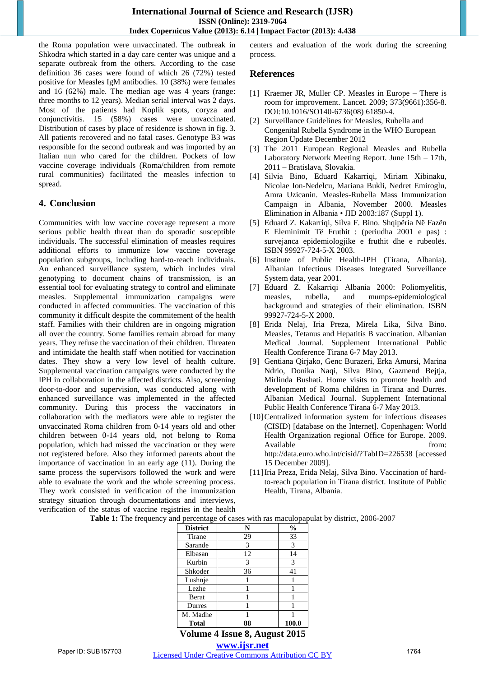the Roma population were unvaccinated. The outbreak in Shkodra which started in a day care center was unique and a separate outbreak from the others. According to the case definition 36 cases were found of which 26 (72%) tested positive for Measles IgM antibodies. 10 (38%) were females and 16 (62%) male. The median age was 4 years (range: three months to 12 years). Median serial interval was 2 days. Most of the patients had Koplik spots, coryza and conjunctivitis. 15 (58%) cases were unvaccinated. Distribution of cases by place of residence is shown in fig. 3. All patients recovered and no fatal cases. Genotype B3 was responsible for the second outbreak and was imported by an Italian nun who cared for the children. Pockets of low vaccine coverage individuals (Roma/children from remote rural communities) facilitated the measles infection to spread.

## **4. Conclusion**

Communities with low vaccine coverage represent a more serious public health threat than do sporadic susceptible individuals. The successful elimination of measles requires additional efforts to immunize low vaccine coverage population subgroups, including hard-to-reach individuals. An enhanced surveillance system, which includes viral genotyping to document chains of transmission, is an essential tool for evaluating strategy to control and eliminate measles. Supplemental immunization campaigns were conducted in affected communities. The vaccination of this community it difficult despite the commitement of the health staff. Families with their children are in ongoing migration all over the country. Some families remain abroad for many years. They refuse the vaccination of their children. Threaten and intimidate the health staff when notified for vaccination dates. They show a very low level of health culture. Supplemental vaccination campaigns were conducted by the IPH in collaboration in the affected districts. Also, screening door-to-door and supervision, was conducted along with enhanced surveillance was implemented in the affected community. During this process the vaccinators in collaboration with the mediators were able to register the unvaccinated Roma children from 0-14 years old and other children between 0-14 years old, not belong to Roma population, which had missed the vaccination or they were not registered before. Also they informed parents about the importance of vaccination in an early age (11). During the same process the supervisors followed the work and were able to evaluate the work and the whole screening process. They work consisted in verification of the immunization strategy situation through documentations and interviews, verification of the status of vaccine registries in the health centers and evaluation of the work during the screening process.

## **References**

- [1] Kraemer JR, Muller CP. Measles in Europe There is room for improvement. Lancet. 2009; 373(9661):356-8. DOI:10.1016/SO140-6736(08) 61850-4.
- [2] Surveillance Guidelines for Measles, Rubella and Congenital Rubella Syndrome in the WHO European Region Update December 2012
- [3] The 2011 European Regional Measles and Rubella Laboratory Network Meeting Report. June 15th – 17th, 2011 – Bratislava, Slovakia.
- [4] Silvia Bino, Eduard Kakarriqi, Miriam Xibinaku, Nicolae Ion-Nedelcu, Mariana Bukli, Nedret Emiroglu, Amra Uzicanin. Measles-Rubella Mass Immunization Campaign in Albania, November 2000. Measles Elimination in Albania • JID 2003:187 (Suppl 1).
- [5] Eduard Z. Kakarriqi, Silva F. Bino. Shqipëria Në Fazën E Eleminimit Të Fruthit : (periudha 2001 e pas) : survejanca epidemiologjike e fruthit dhe e rubeolës. ISBN 99927-724-5-X 2003.
- [6] Institute of Public Health-IPH (Tirana, Albania). Albanian Infectious Diseases Integrated Surveillance System data, year 2001.
- [7] Eduard Z. Kakarriqi Albania 2000: Poliomyelitis, measles, rubella, and mumps-epidemiological background and strategies of their elimination. ISBN 99927-724-5-X 2000.
- [8] Erida Nelaj, Iria Preza, Mirela Lika, Silva Bino. Measles, Tetanus and Hepatitis B vaccination. Albanian Medical Journal. Supplement International Public Health Conference Tirana 6-7 May 2013.
- [9] Gentiana Qirjako, Genc Burazeri, Erka Amursi, Marina Ndrio, Donika Naqi, Silva Bino, Gazmend Bejtja, Mirlinda Bushati. Home visits to promote health and development of Roma children in Tirana and Durrës. Albanian Medical Journal. Supplement International Public Health Conference Tirana 6-7 May 2013.
- [10] Centralized information system for infectious diseases (CISID) [database on the Internet]. Copenhagen: World Health Organization regional Office for Europe. 2009. Available from: http://data.euro.who.int/cisid/?TabID=226538 [accessed 15 December 2009].
- [11]Iria Preza, Erida Nelaj, Silva Bino. Vaccination of hardto-reach population in Tirana district. Institute of Public Health, Tirana, Albania.

**Table 1:** The frequency and percentage of cases with ras maculopapulat by district, 2006-2007

| <b>District</b> | N  | $\frac{0}{0}$ |
|-----------------|----|---------------|
| Tirane          | 29 | 33            |
| Sarande         | 3  | 3             |
| Elbasan         | 12 | 14            |
| Kurbin          | 3  | 3             |
| Shkoder         | 36 | 41            |
| Lushnje         |    |               |
| Lezhe           |    |               |
| <b>Berat</b>    |    |               |
| Durres          |    |               |
| M. Madhe        |    |               |
| <b>Total</b>    |    | 100.0         |

**Volume 4 Issue 8, August 2015**